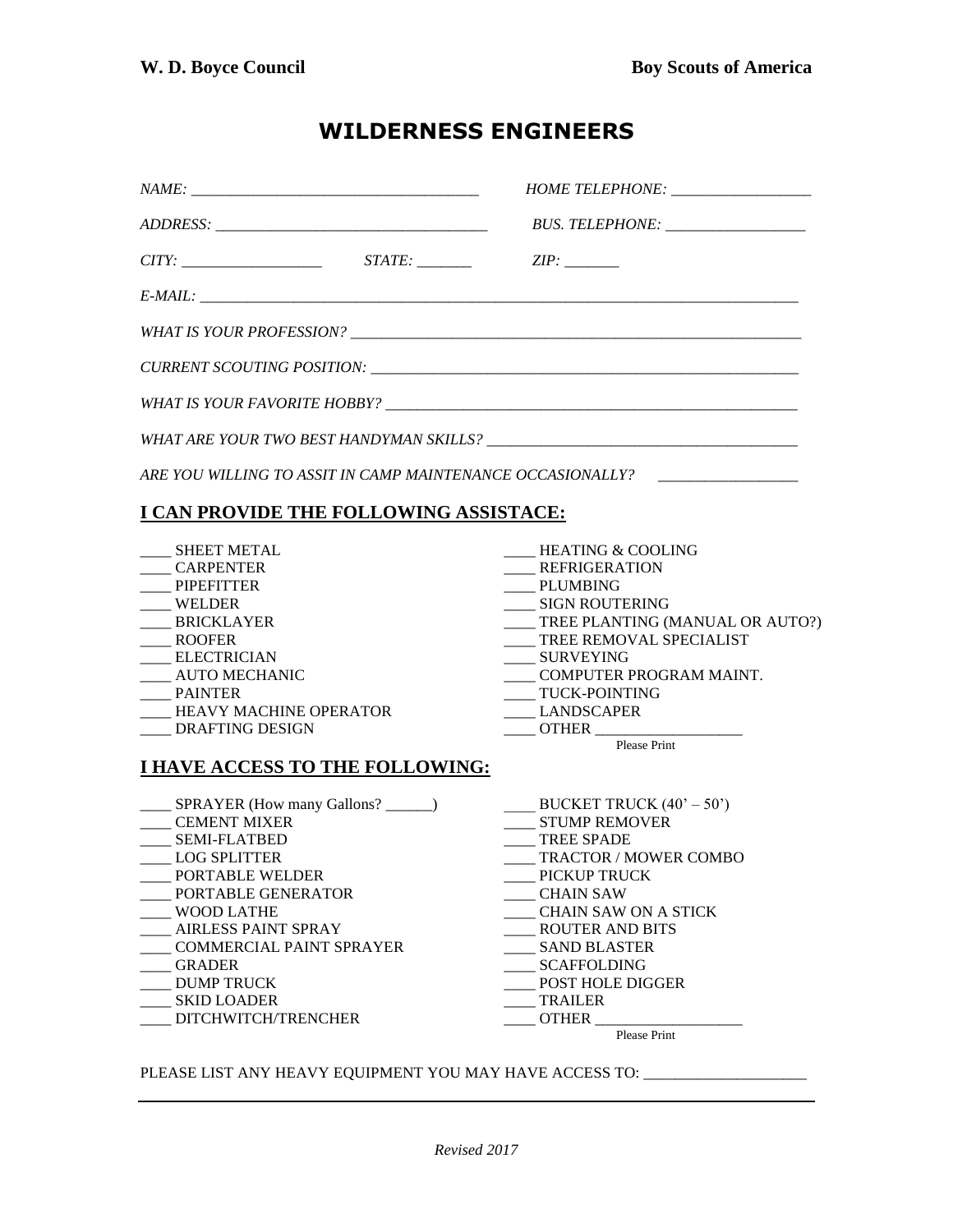## **WILDERNESS ENGINEERS**

|                                                                                                                                                                                                                                                                                                                        | HOME TELEPHONE: __________________                                                                                                                                                                                                                                                                                                    |
|------------------------------------------------------------------------------------------------------------------------------------------------------------------------------------------------------------------------------------------------------------------------------------------------------------------------|---------------------------------------------------------------------------------------------------------------------------------------------------------------------------------------------------------------------------------------------------------------------------------------------------------------------------------------|
|                                                                                                                                                                                                                                                                                                                        |                                                                                                                                                                                                                                                                                                                                       |
| $CITY:$ $STATE:$ $ZIP:$                                                                                                                                                                                                                                                                                                |                                                                                                                                                                                                                                                                                                                                       |
|                                                                                                                                                                                                                                                                                                                        |                                                                                                                                                                                                                                                                                                                                       |
|                                                                                                                                                                                                                                                                                                                        |                                                                                                                                                                                                                                                                                                                                       |
|                                                                                                                                                                                                                                                                                                                        |                                                                                                                                                                                                                                                                                                                                       |
|                                                                                                                                                                                                                                                                                                                        |                                                                                                                                                                                                                                                                                                                                       |
|                                                                                                                                                                                                                                                                                                                        |                                                                                                                                                                                                                                                                                                                                       |
| ARE YOU WILLING TO ASSIT IN CAMP MAINTENANCE OCCASIONALLY?                                                                                                                                                                                                                                                             |                                                                                                                                                                                                                                                                                                                                       |
| I CAN PROVIDE THE FOLLOWING ASSISTACE:                                                                                                                                                                                                                                                                                 |                                                                                                                                                                                                                                                                                                                                       |
| <b>SHEET METAL</b><br>____ CARPENTER<br><b>PIPEFITTER</b><br>WELDER<br>BRICKLAYER<br>___ ROOFER<br>___ ELECTRICIAN<br>____ AUTO MECHANIC<br>____ PAINTER<br>HEAVY MACHINE OPERATOR<br>____ DRAFTING DESIGN<br><u>I HAVE ACCESS TO THE FOLLOWING:</u>                                                                   | <b>HEATING &amp; COOLING</b><br><b>REFRIGERATION</b><br>PLUMBING<br>SIGN ROUTERING<br>____ TREE PLANTING (MANUAL OR AUTO?)<br>TREE REMOVAL SPECIALIST<br>_____ SURVEYING<br>____ COMPUTER PROGRAM MAINT.<br>TUCK-POINTING<br>LANDSCAPER<br>OTHER Please Print                                                                         |
| ___ SPRAYER (How many Gallons? ______)<br><b>CEMENT MIXER</b><br><b>SEMI-FLATBED</b><br><b>LOG SPLITTER</b><br>PORTABLE WELDER<br>PORTABLE GENERATOR<br><b>WOOD LATHE</b><br><b>AIRLESS PAINT SPRAY</b><br>COMMERCIAL PAINT SPRAYER<br><b>GRADER</b><br><b>DUMP TRUCK</b><br><b>SKID LOADER</b><br>DITCHWITCH/TRENCHER | BUCKET TRUCK $(40^{\circ} - 50^{\circ})$<br><b>STUMP REMOVER</b><br><b>TREE SPADE</b><br><b>TRACTOR / MOWER COMBO</b><br>PICKUP TRUCK<br><b>CHAIN SAW</b><br><b>CHAIN SAW ON A STICK</b><br><b>ROUTER AND BITS</b><br><b>SAND BLASTER</b><br><b>SCAFFOLDING</b><br>POST HOLE DIGGER<br><b>TRAILER</b><br><b>OTHER</b><br>Please Print |

PLEASE LIST ANY HEAVY EQUIPMENT YOU MAY HAVE ACCESS TO: \_\_\_\_\_\_\_\_\_\_\_\_\_\_\_\_\_\_\_\_\_\_\_\_